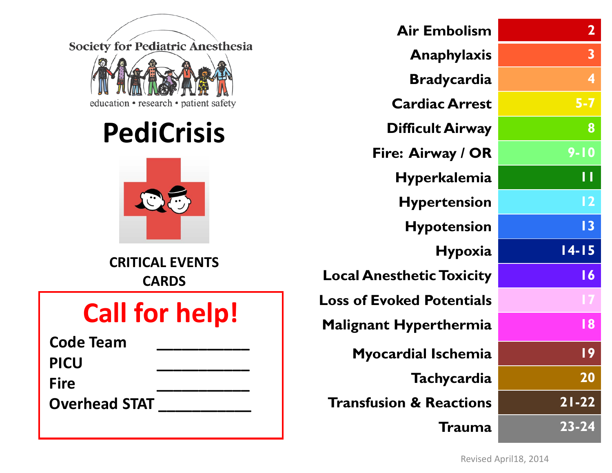Society for Pediatric Anesthesia education • research • patient safety

# **PediCrisis**



**CRITICAL EVENTS CARDS**

# **Call for help!**

| <b>Code Team</b>     |  |
|----------------------|--|
| <b>PICU</b>          |  |
| <b>Fire</b>          |  |
| <b>Overhead STAT</b> |  |

| <b>Air Embolism</b>                | $\mathbf{2}$    |
|------------------------------------|-----------------|
| Anaphylaxis                        | 3               |
| <b>Bradycardia</b>                 | 4               |
| <b>Cardiac Arrest</b>              | $5 - 7$         |
| <b>Difficult Airway</b>            | 8               |
| Fire: Airway / OR                  | $9 - 10$        |
| <b>Hyperkalemia</b>                | Н               |
| <b>Hypertension</b>                | 12              |
| <b>Hypotension</b>                 | 3               |
| <b>Hypoxia</b>                     | $14 - 15$       |
| <b>Local Anesthetic Toxicity</b>   | $\overline{16}$ |
| <b>Loss of Evoked Potentials</b>   | 17              |
| <b>Malignant Hyperthermia</b>      | 18              |
| <b>Myocardial Ischemia</b>         | l 9             |
| Tachycardia                        | <b>20</b>       |
| <b>Transfusion &amp; Reactions</b> | $21 - 22$       |
| <b>Trauma</b>                      | $23 - 24$       |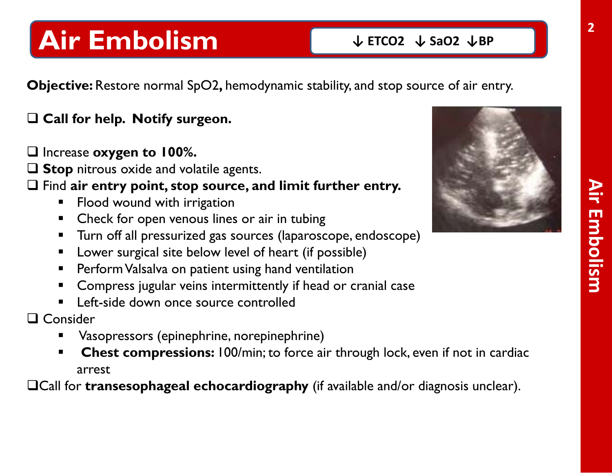# **Air Embolism**

**Objective:** Restore normal SpO2**,** hemodynamic stability, and stop source of air entry.

#### **Call for help. Notify surgeon.**

Increase **oxygen to 100%.** 

 $\Box$  **Stop** nitrous oxide and volatile agents.

Find **air entry point, stop source, and limit further entry.**

- **FIOOD WOUND WITH IT FING WARES**
- Check for open venous lines or air in tubing
- **Turn off all pressurized gas sources (laparoscope, endoscope)**
- **E** Lower surgical site below level of heart (if possible)
- **Perform Valsalva on patient using hand ventilation**
- **EXP** Compress jugular veins intermittently if head or cranial case
- **Left-side down once source controlled**

□ Consider

- Vasopressors (epinephrine, norepinephrine)
- **Chest compressions:** 100/min; to force air through lock, even if not in cardiac arrest

Call for **transesophageal echocardiography** (if available and/or diagnosis unclear).

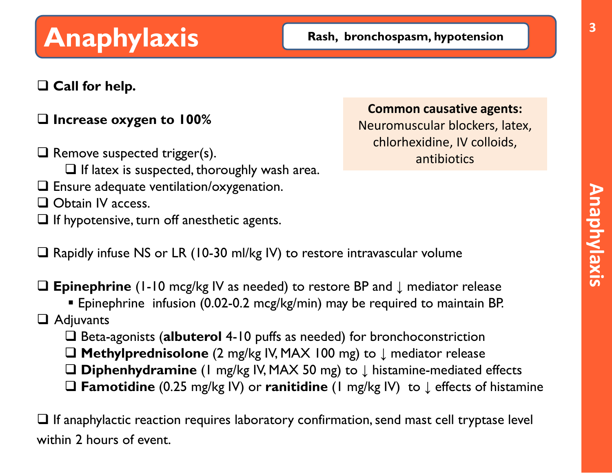# **Anaphylaxis** Rash, bronchospasm, hypotension

#### **Call for help.**

#### **Increase oxygen to 100%**

 $\Box$  Remove suspected trigger(s).  $\Box$  If latex is suspected, thoroughly wash area. Ensure adequate ventilation/oxygenation.  $\Box$  Obtain IV access.  $\Box$  If hypotensive, turn off anesthetic agents.

#### **Common causative agents:**

Neuromuscular blockers, latex, chlorhexidine, IV colloids, antibiotics

 $\square$  Rapidly infuse NS or LR (10-30 ml/kg IV) to restore intravascular volume

**Epinephrine** (1-10 mcg/kg IV as needed) to restore BP and **↓** mediator release

Epinephrine infusion (0.02-0.2 mcg/kg/min) may be required to maintain BP.

#### Adjuvants

□ Beta-agonists (albuterol 4-10 puffs as needed) for bronchoconstriction

- **Methylprednisolone** (2 mg/kg IV, MAX 100 mg) to ↓ mediator release
- **Diphenhydramine** (1 mg/kg IV, MAX 50 mg) to ↓ histamine-mediated effects
- **Famotidine** (0.25 mg/kg IV) or **ranitidine** (1 mg/kg IV) to ↓ effects of histamine

 $\Box$  If anaphylactic reaction requires laboratory confirmation, send mast cell tryptase level within 2 hours of event.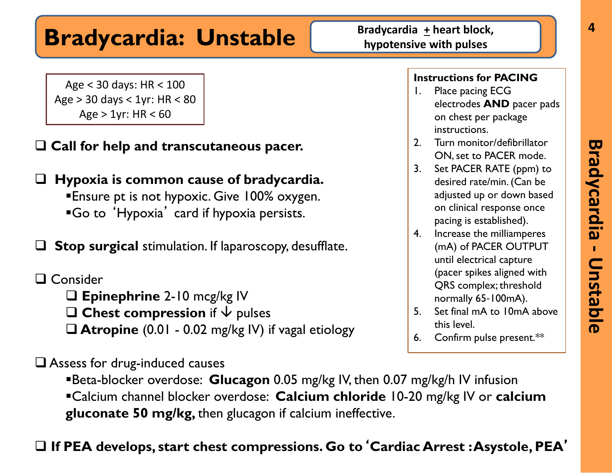# **Bradycardia: Unstable Bradycardia**  $\frac{1}{2}$  heart block,

Age < 30 days: HR < 100 Age > 30 days < 1yr: HR < 80 Age  $> 1$ yr: HR < 60

**Call for help and transcutaneous pacer.**

 **Hypoxia is common cause of bradycardia. Ensure pt is not hypoxic. Give 100% oxygen.** Go to 'Hypoxia' card if hypoxia persists.

 **Stop surgical** stimulation. If laparoscopy, desufflate.

□ Consider **Epinephrine** 2-10 mcg/kg IV **Chest compression** if  $\sqrt{}$  pulses **Atropine** (0.01 - 0.02 mg/kg IV) if vagal etiology

□ Assess for drug-induced causes

Beta-blocker overdose: **Glucagon** 0.05 mg/kg IV, then 0.07 mg/kg/h IV infusion Calcium channel blocker overdose: **Calcium chloride** 10-20 mg/kg IV or **calcium gluconate 50 mg/kg,** then glucagon if calcium ineffective.

#### **If PEA develops, start chest compressions. Go to**'**Cardiac Arrest : Asystole, PEA**'

- 1. Place pacing ECG electrodes **AND** pacer pads on chest per package instructions.
- 2. Turn monitor/defibrillator ON, set to PACER mode.
- 3. Set PACER RATE (ppm) to desired rate/min. (Can be adjusted up or down based on clinical response once pacing is established).
- 4. Increase the milliamperes (mA) of PACER OUTPUT until electrical capture (pacer spikes aligned with QRS complex; threshold normally 65‐100mA).
- 5. Set final mA to 10mA above this level.
- 6. Confirm pulse present.\*\*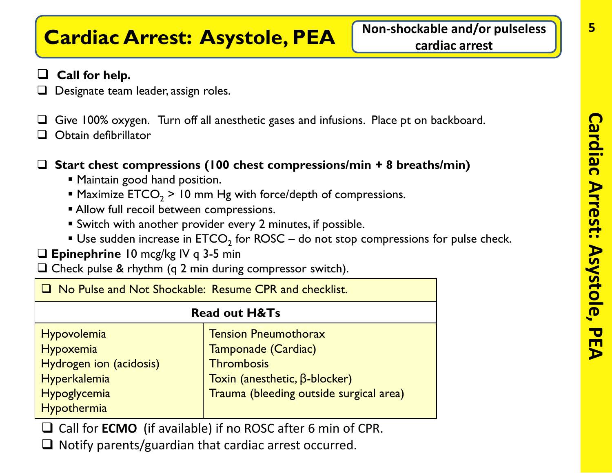# **Cardiac Arrest: Asystole, PEA** Mon-shockable and/or pulseless

#### **Call for help.**

- Designate team leader, assign roles.
- $\Box$  Give 100% oxygen. Turn off all anesthetic gases and infusions. Place pt on backboard.
- Obtain defibrillator

#### **Start chest compressions (100 chest compressions/min + 8 breaths/min)**

- **Maintain good hand position.**
- **Maximize ETCO**<sub>2</sub> > 10 mm Hg with force/depth of compressions.
- **Allow full recoil between compressions.**
- Switch with another provider every 2 minutes, if possible.
- Use sudden increase in  $ETCO<sub>2</sub>$  for ROSC do not stop compressions for pulse check.
- **Epinephrine** 10 mcg/kg IV q 3-5 min
- $\square$  Check pulse & rhythm (q 2 min during compressor switch).

| <b>T</b> No Pulse and Not Shockable: Resume CPR and checklist.                                     |                                                                                                                                                            |
|----------------------------------------------------------------------------------------------------|------------------------------------------------------------------------------------------------------------------------------------------------------------|
| <b>Read out H&amp;Ts</b>                                                                           |                                                                                                                                                            |
| Hypovolemia<br>Hypoxemia<br>Hydrogen ion (acidosis)<br>Hyperkalemia<br>Hypoglycemia<br>Hypothermia | <b>Tension Pneumothorax</b><br>Tamponade (Cardiac)<br><b>Thrombosis</b><br>Toxin (anesthetic, $\beta$ -blocker)<br>Trauma (bleeding outside surgical area) |

- □ Call for **ECMO** (if available) if no ROSC after 6 min of CPR.
- $\Box$  Notify parents/guardian that cardiac arrest occurred.

**5**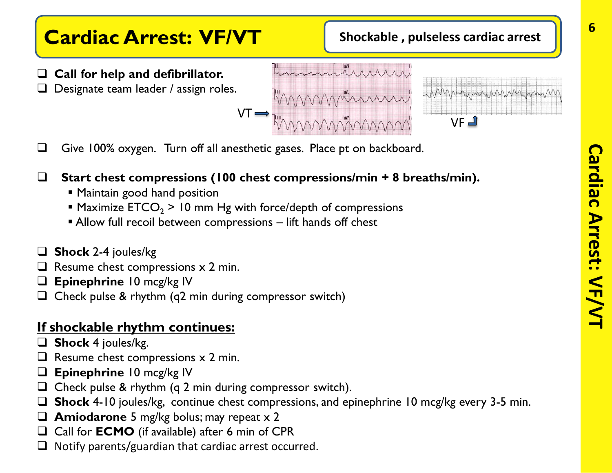## **Cardiac Arrest: VF/VT** Shockable, pulseless cardiac arrest

- **Call for help and defibrillator.**
- Designate team leader / assign roles.
- VT  $VF$
- $\Box$  Give 100% oxygen. Turn off all anesthetic gases. Place pt on backboard.
- **Start chest compressions (100 chest compressions/min + 8 breaths/min).**
	- **Maintain good hand position**
	- **Maximize ETCO<sub>2</sub> > 10 mm Hg with force/depth of compressions**
	- Allow full recoil between compressions lift hands off chest
- **Shock** 2-4 joules/kg
- $\Box$  Resume chest compressions  $\times$  2 min.
- **Epinephrine** 10 mcg/kg IV
- $\Box$  Check pulse & rhythm (q2 min during compressor switch)

#### **If shockable rhythm continues:**

- **Shock** 4 joules/kg.
- $\Box$  Resume chest compressions  $\times$  2 min.
- **Epinephrine** 10 mcg/kg IV
- $\Box$  Check pulse & rhythm (q 2 min during compressor switch).
- **Shock** 4-10 joules/kg, continue chest compressions, and epinephrine 10 mcg/kg every 3-5 min.
- **Amiodarone** 5 mg/kg bolus; may repeat x 2
- □ Call for **ECMO** (if available) after 6 min of CPR
- $\Box$  Notify parents/guardian that cardiac arrest occurred.

**6**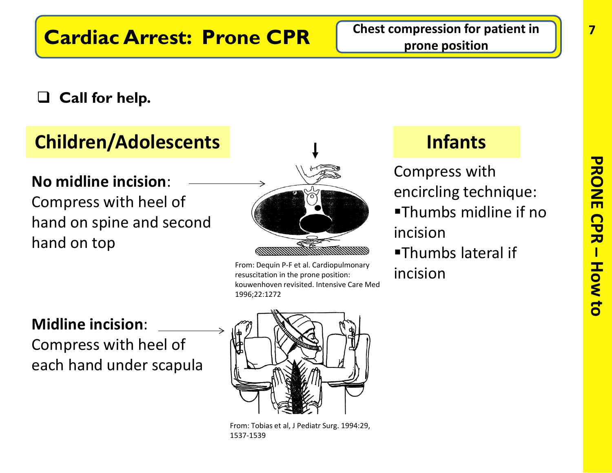### **Call for help.**

## **Children/Adolescents Infants**

**No midline incision**: Compress with heel of hand on spine and second hand on top



From: Dequin P-F et al. Cardiopulmonary resuscitation in the prone position: kouwenhoven revisited. Intensive Care Med 1996;22:1272

Compress with encircling technique: Thumbs midline if no incision Thumbs lateral if incision

#### **Midline incision**:

Compress with heel of each hand under scapula



From: Tobias et al, J Pediatr Surg. 1994:29, 1537-1539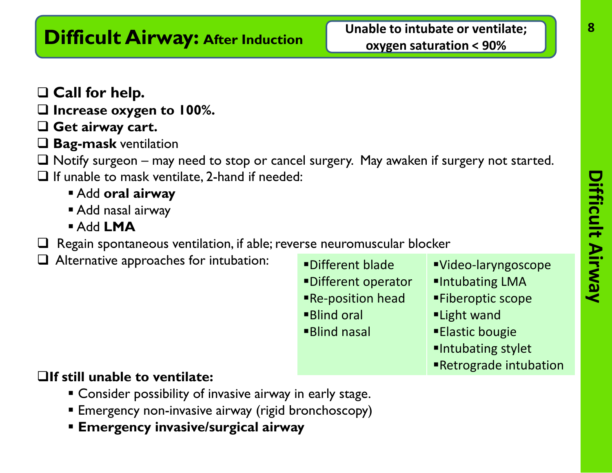**Call for help.**

- **Increase oxygen to 100%.**
- **Get airway cart.**
- **Bag-mask** ventilation
- $\Box$  Notify surgeon may need to stop or cancel surgery. May awaken if surgery not started.
- $\Box$  If unable to mask ventilate, 2-hand if needed:
	- Add **oral airway**
	- Add nasal airway
	- Add **LMA**
- $\Box$  Regain spontaneous ventilation, if able; reverse neuromuscular blocker
- Alternative approaches for intubation:

Different blade Different operator Re-position head Blind oral Blind nasal

- Video-laryngoscope
- Intubating LMA
- Fiberoptic scope
- Light wand
- Elastic bougie
- Intubating stylet
- Retrograde intubation

#### **If still unable to ventilate:**

- Consider possibility of invasive airway in early stage.
- **Emergency non-invasive airway (rigid bronchoscopy)**
- **Emergency invasive/surgical airway**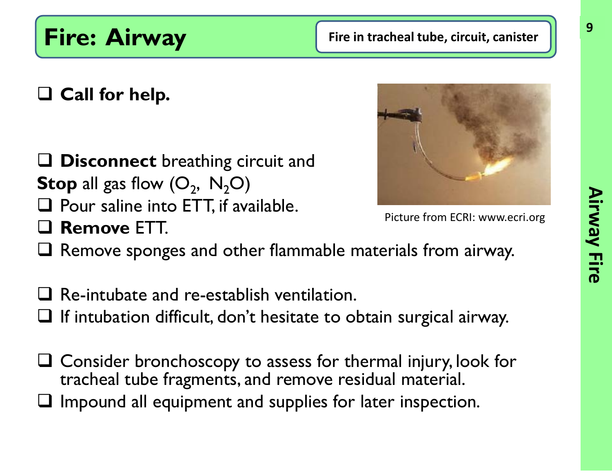**Fire: Airway Fire in tracheal tube, circuit, canister** 

## **Call for help.**

### **Disconnect** breathing circuit and **Stop** all gas flow  $(O_2, N_2O)$

- $\Box$  Pour saline into ETT, if available.
- **Remove** ETT.

Picture from ECRI: www.ecri.org

- $\Box$  Remove sponges and other flammable materials from airway.
- $\Box$  Re-intubate and re-establish ventilation.
- $\Box$  If intubation difficult, don't hesitate to obtain surgical airway.
- Consider bronchoscopy to assess for thermal injury, look for tracheal tube fragments, and remove residual material.
- $\Box$  Impound all equipment and supplies for later inspection.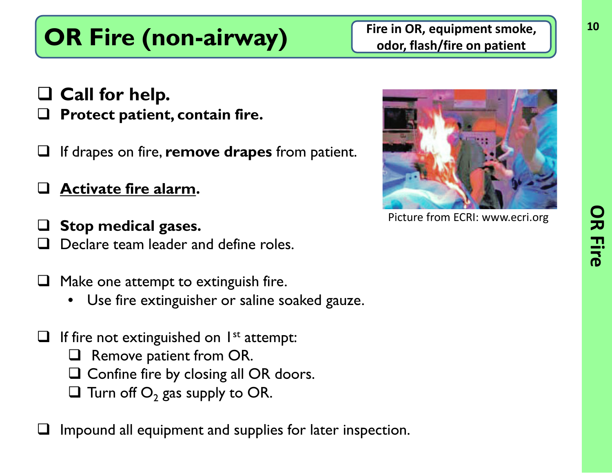# **OR Fire (non-airway)** Fire in OR, equipment smoke,

**odor, flash/fire on patient**

**Call for help.**

- **Protect patient, contain fire.**
- If drapes on fire, **remove drapes** from patient.

**Activate fire alarm.**

- **Stop medical gases.** Declare team leader and define roles.
- Make one attempt to extinguish fire.
	- Use fire extinguisher or saline soaked gauze.
- If fire not extinguished on  $I^{st}$  attempt:
	- Remove patient from OR.
	- $\square$  Confine fire by closing all OR doors.
	- $\Box$  Turn off  $O_2$  gas supply to OR.

Impound all equipment and supplies for later inspection.



Picture from ECRI: www.ecri.org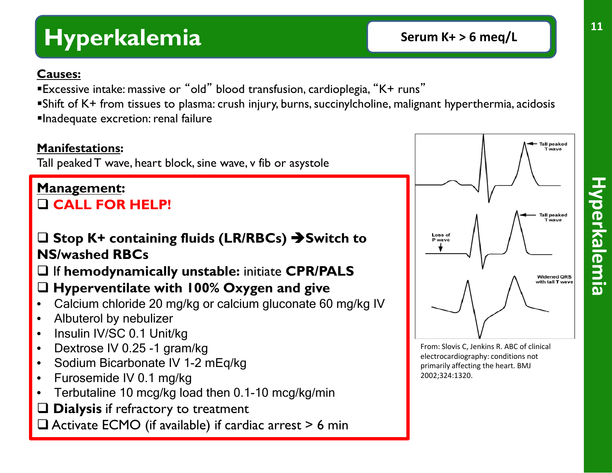# **Hyperkalemia Serum K+ > 6 meq/L**

#### **Causes:**

- Excessive intake: massive or "old" blood transfusion, cardioplegia, "K+ runs"
- Shift of K+ from tissues to plasma: crush injury, burns, succinylcholine, malignant hyperthermia, acidosis Inadequate excretion: renal failure

#### **Manifestations:**

Tall peaked T wave, heart block, sine wave, v fib or asystole

#### **Management: CALL FOR HELP!**

#### **Stop K+ containing fluids (LR/RBCs) Switch to NS/washed RBCs**

### If **hemodynamically unstable:** initiate **CPR/PALS**

#### **Hyperventilate with 100% Oxygen and give**

- Calcium chloride 20 mg/kg or calcium gluconate 60 mg/kg IV
- Albuterol by nebulizer
- Insulin IV/SC 0.1 Unit/kg
- Dextrose IV 0.25 -1 gram/kg
- Sodium Bicarbonate IV 1-2 mEg/kg
- Furosemide IV 0.1 mg/kg
- Terbutaline 10 mcg/kg load then 0.1-10 mcg/kg/min
- **Q** Dialysis if refractory to treatment
- $\Box$  Activate ECMO (if available) if cardiac arrest  $> 6$  min



From: Slovis C, Jenkins R. ABC of clinical electrocardiography: conditions not primarily affecting the heart. BMJ 2002;324:1320.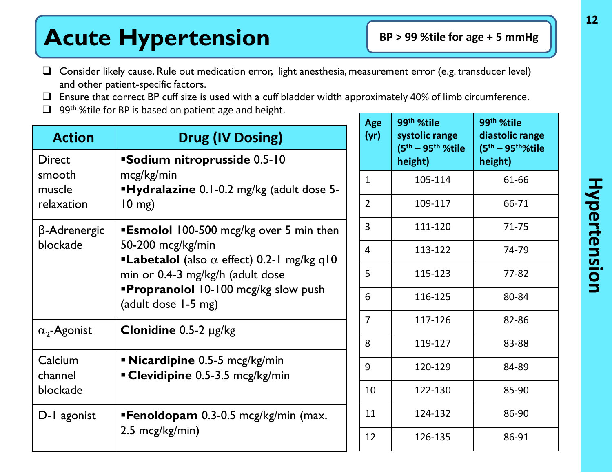# Acute Hypertension **BP** > 99 %tile for age + 5 mmHg

- Consider likely cause. Rule out medication error, light anesthesia, measurement error (e.g. transducer level) and other patient-specific factors.
- $\Box$  Ensure that correct BP cuff size is used with a cuff bladder width approximately 40% of limb circumference.
- $\Box$  99<sup>th</sup> % tile for BP is based on patient age and height.

| <b>Action</b>                            | <b>Drug (IV Dosing)</b>                                                                                                                                                                                                                 |
|------------------------------------------|-----------------------------------------------------------------------------------------------------------------------------------------------------------------------------------------------------------------------------------------|
| Direct<br>smooth<br>muscle<br>relaxation | <b>Sodium nitroprusside 0.5-10</b><br>mcg/kg/min<br><b>Hydralazine</b> 0.1-0.2 mg/kg (adult dose 5-<br>$10$ mg)                                                                                                                         |
| β-Adrenergic<br>blockade                 | <b>Esmolol</b> 100-500 mcg/kg over 5 min then<br>50-200 mcg/kg/min<br><b>-Labetalol</b> (also $\alpha$ effect) 0.2-1 mg/kg q10<br>min or 0.4-3 mg/kg/h (adult dose<br><b>Propranolol</b> 10-100 mcg/kg slow push<br>(adult dose 1-5 mg) |
| $\alpha_2$ -Agonist                      | <b>Clonidine</b> $0.5-2 \mu g/kg$                                                                                                                                                                                                       |
| Calcium<br>channel<br>blockade           | <b>Nicardipine</b> 0.5-5 mcg/kg/min<br><b>Clevidipine</b> 0.5-3.5 mcg/kg/min                                                                                                                                                            |
| D-1 agonist                              | <b>Fenoldopam</b> 0.3-0.5 mcg/kg/min (max.<br>2.5 mcg/kg/min)                                                                                                                                                                           |

| <b>Age</b><br>(yr) | 99 <sup>th</sup> %tile<br>systolic range<br>$(5^{th} - 95^{th} %$ %tile<br>height) | 99 <sup>th</sup> %tile<br>diastolic range<br>$(5th - 95th%tile)$<br>height) |
|--------------------|------------------------------------------------------------------------------------|-----------------------------------------------------------------------------|
| 1                  | 105-114                                                                            | 61-66                                                                       |
| 2                  | 109-117                                                                            | 66-71                                                                       |
| 3                  | 111-120                                                                            | $71 - 75$                                                                   |
| 4                  | 113-122                                                                            | 74-79                                                                       |
| 5                  | 115-123                                                                            | 77-82                                                                       |
| 6                  | 116-125                                                                            | 80-84                                                                       |
| 7                  | 117-126                                                                            | 82-86                                                                       |
| 8                  | 119-127                                                                            | 83-88                                                                       |
| 9                  | 120-129                                                                            | 84-89                                                                       |
| 10                 | 122-130                                                                            | 85-90                                                                       |
| 11                 | 124-132                                                                            | 86-90                                                                       |
| 12                 | 126-135                                                                            | 86-91                                                                       |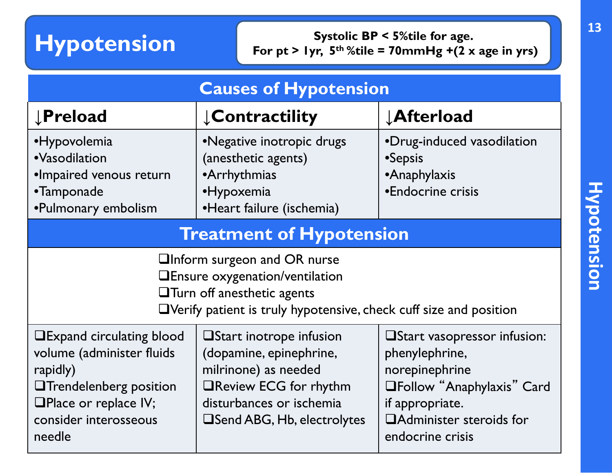**Hypotension Systolic BP < 5%tile for age.**<br>For pt > 1yr, 5<sup>th</sup> %tile = 70mmHg +(2 x For  $pt > lyr$ ,  $5^{th}$ %tile = 70mmHg +(2 x age in yrs)

| <b>Causes of Hypotension</b>                                                                                                                                                                                 |                                                                                                                                                                                |                                                                                                                                                                                 |  |
|--------------------------------------------------------------------------------------------------------------------------------------------------------------------------------------------------------------|--------------------------------------------------------------------------------------------------------------------------------------------------------------------------------|---------------------------------------------------------------------------------------------------------------------------------------------------------------------------------|--|
| <b>JPreload</b>                                                                                                                                                                                              | <b>Contractility</b>                                                                                                                                                           | <b>JAfterload</b>                                                                                                                                                               |  |
| •Hypovolemia<br>•Negative inotropic drugs<br>·Vasodilation<br>(anesthetic agents)<br>·Impaired venous return<br>•Arrhythmias<br>·Hypoxemia<br>•Tamponade<br>•Pulmonary embolism<br>·Heart failure (ischemia) |                                                                                                                                                                                | •Drug-induced vasodilation<br>•Sepsis<br>•Anaphylaxis<br>•Endocrine crisis                                                                                                      |  |
| <b>Treatment of Hypotension</b>                                                                                                                                                                              |                                                                                                                                                                                |                                                                                                                                                                                 |  |
| <b>QInform surgeon and OR nurse</b><br><b>QEnsure oxygenation/ventilation</b><br>$\Box$ Turn off anesthetic agents<br>$\Box$ Verify patient is truly hypotensive, check cuff size and position               |                                                                                                                                                                                |                                                                                                                                                                                 |  |
| <b>QExpand circulating blood</b><br>volume (administer fluids<br>rapidly)<br><b>OTrendelenberg position</b><br>$\Box$ Place or replace IV;<br>consider interosseous<br>needle                                | <b>O</b> Start inotrope infusion<br>(dopamine, epinephrine,<br>milrinone) as needed<br>□Review ECG for rhythm<br>disturbances or ischemia<br><b>Send ABG, Hb, electrolytes</b> | <b>Elart vasopressor infusion:</b><br>phenylephrine,<br>norepinephrine<br><b>OFollow</b> "Anaphylaxis" Card<br>if appropriate.<br>□ Administer steroids for<br>endocrine crisis |  |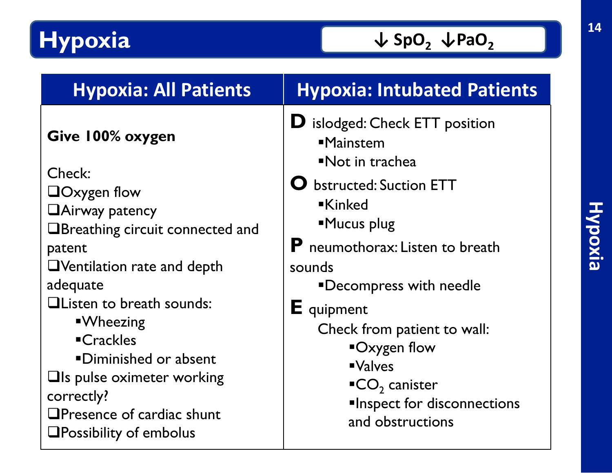# **Hypoxia**

| <b>Hypoxia: All Patients</b>                                                                                                                                                                                                                                            | <b>Hypoxia: Intubated Patients</b>                                                                                                                                                                                                                              |
|-------------------------------------------------------------------------------------------------------------------------------------------------------------------------------------------------------------------------------------------------------------------------|-----------------------------------------------------------------------------------------------------------------------------------------------------------------------------------------------------------------------------------------------------------------|
| Give 100% oxygen                                                                                                                                                                                                                                                        | $\bf{D}$ islodged: Check ETT position<br><b>-Mainstem</b><br>Not in trachea                                                                                                                                                                                     |
| Check:<br>$\Box$ Oxygen flow<br><b>Hairway patency</b><br>$\Box$ Breathing circuit connected and<br>patent<br>$\Box$ Ventilation rate and depth<br>adequate<br><b>QListen to breath sounds:</b><br><b>N</b> Wheezing<br><b>-Crackles</b><br><b>Diminished or absent</b> | <b>O</b> bstructed: Suction ETT<br><b>Kinked</b><br>Mucus plug<br><b>P</b> neumothorax: Listen to breath<br>sounds<br><b>"Decompress with needle</b><br><b>E</b> quipment<br>Check from patient to wall:<br>$\blacksquare$ Oxygen flow<br>$\blacksquare$ Valves |
| $\Box$ Is pulse oximeter working<br>$\textsf{ICO}_2$ canister<br>correctly?<br>$\Box$ Presence of cardiac shunt<br>and obstructions<br>$\square$ Possibility of embolus                                                                                                 | <b>Inspect for disconnections</b>                                                                                                                                                                                                                               |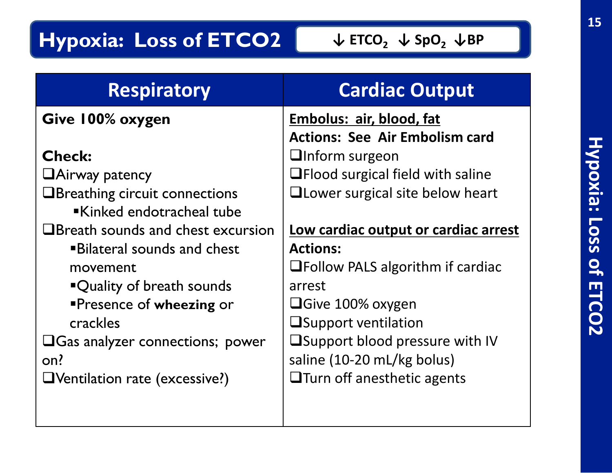# **Hypoxia: Loss of ETCO2**

| <b>Respiratory</b>                       | <b>Cardiac Output</b>                   |
|------------------------------------------|-----------------------------------------|
| Give 100% oxygen                         | Embolus: air, blood, fat                |
|                                          | <b>Actions: See Air Embolism card</b>   |
| <b>Check:</b>                            | <b>QInform surgeon</b>                  |
| $\Box$ Airway patency                    | $\Box$ Flood surgical field with saline |
| <b>OBreathing circuit connections</b>    | <b>QLower surgical site below heart</b> |
| Kinked endotracheal tube                 |                                         |
| $\Box$ Breath sounds and chest excursion | Low cardiac output or cardiac arrest    |
| <b>Bilateral sounds and chest</b>        | <b>Actions:</b>                         |
| movement                                 | $\Box$ Follow PALS algorithm if cardiac |
| "Quality of breath sounds                | arrest                                  |
| <b>Presence of wheezing or</b>           | $\Box$ Give 100% oxygen                 |
| crackles                                 | <b>Support ventilation</b>              |
| $\Box$ Gas analyzer connections; power   | $\Box$ Support blood pressure with IV   |
| on?                                      | saline (10-20 mL/kg bolus)              |
| $\Box$ Ventilation rate (excessive?)     | $\Box$ Turn off anesthetic agents       |
|                                          |                                         |
|                                          |                                         |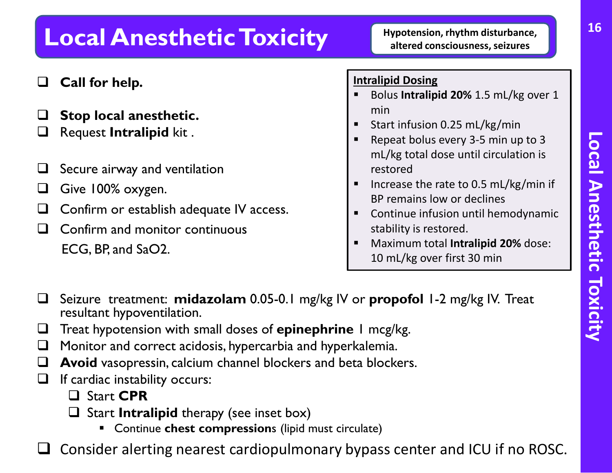# **Local Anesthetic Toxicity** Hypotension, rhythm disturbance,

- **Call for help.**
- **Stop local anesthetic.**
- Request **Intralipid** kit .
- $\Box$  Secure airway and ventilation
- Give 100% oxygen.
- $\Box$  Confirm or establish adequate IV access.
- $\Box$  Confirm and monitor continuous ECG, BP, and SaO2.

#### **Intralipid Dosing**

- Bolus **Intralipid 20%** 1.5 mL/kg over 1 min
- Start infusion 0.25 mL/kg/min
- Repeat bolus every 3-5 min up to 3 mL/kg total dose until circulation is restored
- Increase the rate to 0.5 mL/kg/min if BP remains low or declines
- **EX Continue infusion until hemodynamic** stability is restored.
- Maximum total **Intralipid 20%** dose: 10 mL/kg over first 30 min
- Seizure treatment: **midazolam** 0.05-0.1 mg/kg IV or **propofol** 1-2 mg/kg IV. Treat resultant hypoventilation.
- Treat hypotension with small doses of **epinephrine** 1 mcg/kg.
- $\Box$  Monitor and correct acidosis, hypercarbia and hyperkalemia.
- **Avoid** vasopressin, calcium channel blockers and beta blockers.
- $\Box$  If cardiac instability occurs:
	- Start **CPR**
	- □ Start **Intralipid** therapy (see inset box)
		- Continue **chest compression**s (lipid must circulate)
- Consider alerting nearest cardiopulmonary bypass center and ICU if no ROSC.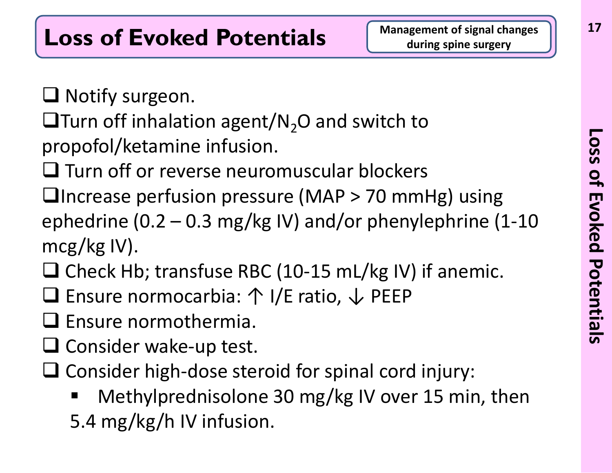$\Box$  Notify surgeon.

- $\Box$ Turn off inhalation agent/N<sub>2</sub>O and switch to
- propofol/ketamine infusion.
- $\Box$  Turn off or reverse neuromuscular blockers
- $\Box$ Increase perfusion pressure (MAP > 70 mmHg) using ephedrine (0.2 – 0.3 mg/kg IV) and/or phenylephrine (1-10 mcg/kg IV).
- $\Box$  Check Hb; transfuse RBC (10-15 mL/kg IV) if anemic.
- Ensure normocarbia: ↑ I/E ratio, ↓ PEEP
- $\square$  Ensure normothermia.
- $\Box$  Consider wake-up test.
- $\Box$  Consider high-dose steroid for spinal cord injury:
	- Methylprednisolone 30 mg/kg IV over 15 min, then 5.4 mg/kg/h IV infusion.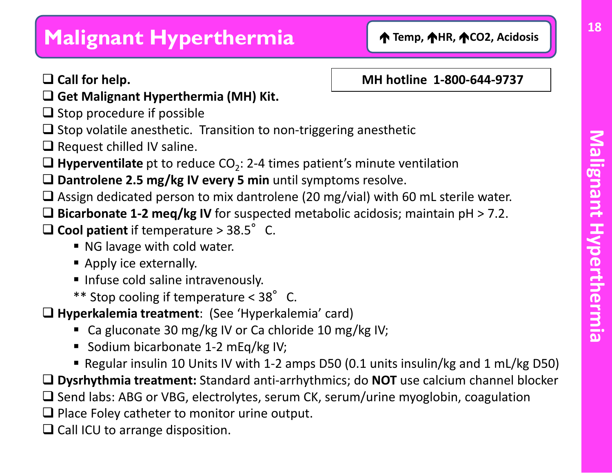## **Malignant Hyperthermia** 1 1 Temp, 14R, 12CO2, Acidosis

#### **Call for help.**

#### **MH hotline 1-800-644-9737**

- **Get Malignant Hyperthermia (MH) Kit.**
- $\Box$  Stop procedure if possible
- $\Box$  Stop volatile anesthetic. Transition to non-triggering anesthetic
- $\Box$  Request chilled IV saline.
- **Hyperventilate** pt to reduce  $CO<sub>2</sub>: 2-4$  times patient's minute ventilation
- **Dantrolene 2.5 mg/kg IV every 5 min** until symptoms resolve.
- $\Box$  Assign dedicated person to mix dantrolene (20 mg/vial) with 60 mL sterile water.
- **Bicarbonate 1-2 meq/kg IV** for suspected metabolic acidosis; maintain pH > 7.2.
- $\Box$  Cool patient if temperature > 38.5 $\degree$  C.
	- NG lavage with cold water.
	- **Apply ice externally.**
	- **Infuse cold saline intravenously.**
	- \*\* Stop cooling if temperature < 38°C.

**Hyperkalemia treatment**: (See 'Hyperkalemia' card)

- Ca gluconate 30 mg/kg IV or Ca chloride 10 mg/kg IV;
- Sodium bicarbonate 1-2 mEq/kg IV;
- Regular insulin 10 Units IV with 1-2 amps D50 (0.1 units insulin/kg and 1 mL/kg D50)
- **Dysrhythmia treatment:** Standard anti-arrhythmics; do **NOT** use calcium channel blocker
- $\Box$  Send labs: ABG or VBG, electrolytes, serum CK, serum/urine myoglobin, coagulation
- $\Box$  Place Foley catheter to monitor urine output.
- $\Box$  Call ICU to arrange disposition.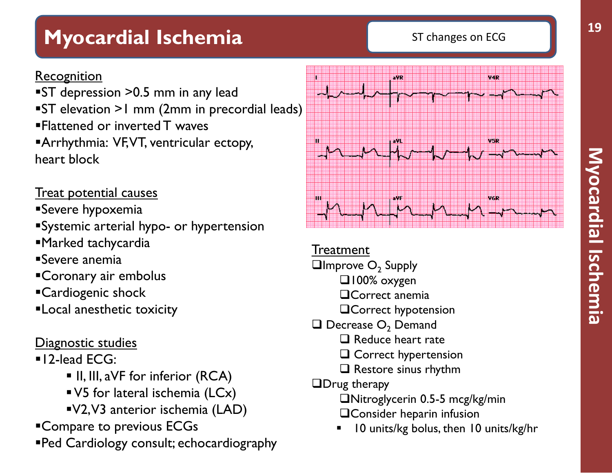## **Myocardial Ischemia** ST changes on ECG

#### Recognition

**ST** depression > 0.5 mm in any lead ST elevation >1 mm (2mm in precordial leads) Flattened or inverted T waves **Arrhythmia: VF, VT, ventricular ectopy,** heart block

#### Treat potential causes

- Severe hypoxemia
- Systemic arterial hypo- or hypertension
- Marked tachycardia
- Severe anemia
- Coronary air embolus
- Cardiogenic shock
- Local anesthetic toxicity

#### Diagnostic studies

#### **12-lead ECG:**

- **III, III, aVF for inferior (RCA)**
- V5 for lateral ischemia (LCx)
- V2, V3 anterior ischemia (LAD)
- Compare to previous ECGs
- Ped Cardiology consult; echocardiography



**Treatment** 

- $\Box$ Improve  $O_2$  Supply
	- $\square$ 100% oxygen
	- **OCorrect anemia**
	- **QCorrect hypotension**
- $\Box$  Decrease  $O<sub>2</sub>$  Demand
	- $\Box$  Reduce heart rate
	- **Q** Correct hypertension
	- $\Box$  Restore sinus rhythm
- **ODrug therapy** 
	- Nitroglycerin 0.5-5 mcg/kg/min
	- **QConsider heparin infusion**
	- 10 units/kg bolus, then 10 units/kg/hr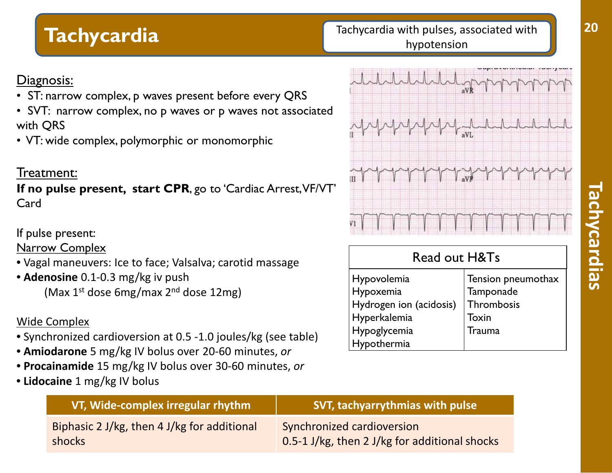#### **Tachycardia** Tachycardia **Tachycardia Tachycardia with pulses, associated with** hypotension

#### Diagnosis:

- ST: narrow complex, p waves present before every QRS
- SVT: narrow complex, no p waves or p waves not associated with QRS
- VT: wide complex, polymorphic or monomorphic

#### Treatment:

**If no pulse present, start CPR**, go to 'Cardiac Arrest, VF/VT' Card

If pulse present:

Narrow Complex

- Vagal maneuvers: Ice to face; Valsalva; carotid massage
- **Adenosine** 0.1-0.3 mg/kg iv push (Max  $1^{st}$  dose 6mg/max  $2^{nd}$  dose  $12$ mg)

#### Wide Complex

- Synchronized cardioversion at 0.5 -1.0 joules/kg (see table)
- **Amiodarone** 5 mg/kg IV bolus over 20-60 minutes, *or*
- **Procainamide** 15 mg/kg IV bolus over 30-60 minutes, *or*
- **Lidocaine** 1 mg/kg IV bolus



#### Read out H&Ts Hypovolemia Hypoxemia Hydrogen ion (acidosis) Hyperkalemia Hypoglycemia Hypothermia Tension pneumothax **Tamponade Thrombosis** Toxin **Trauma**

| VT, Wide-complex irregular rhythm                            | <b>SVT, tachyarrythmias with pulse</b>                                      |
|--------------------------------------------------------------|-----------------------------------------------------------------------------|
| Biphasic 2 J/kg, then 4 J/kg for additional<br><b>shocks</b> | Synchronized cardioversion<br>0.5-1 J/kg, then 2 J/kg for additional shocks |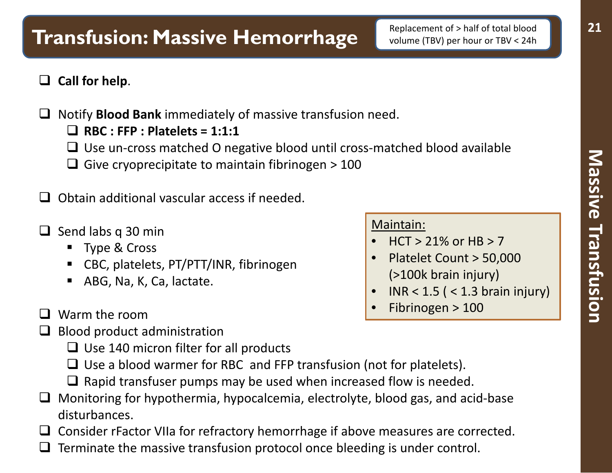#### **Call for help**.

- □ Notify **Blood Bank** immediately of massive transfusion need.
	- **RBC : FFP : Platelets = 1:1:1**
	- $\Box$  Use un-cross matched O negative blood until cross-matched blood available
	- Give cryoprecipitate to maintain fibrinogen  $>$  100
- $\Box$  Obtain additional vascular access if needed.
- $\Box$  Send labs q 30 min
	- **Type & Cross**
	- CBC, platelets, PT/PTT/INR, fibrinogen
	- ABG, Na, K, Ca, lactate.
- **Q** Warm the room
- $\Box$  Blood product administration
	- $\Box$  Use 140 micron filter for all products
	- $\Box$  Use a blood warmer for RBC and FFP transfusion (not for platelets).
	- $\Box$  Rapid transfuser pumps may be used when increased flow is needed.
- $\Box$  Monitoring for hypothermia, hypocalcemia, electrolyte, blood gas, and acid-base disturbances.
- $\Box$  Consider rFactor VIIa for refractory hemorrhage if above measures are corrected.
- Terminate the massive transfusion protocol once bleeding is under control.

#### Maintain:

- $HCT > 21\%$  or HB  $> 7$
- Platelet Count > 50,000 (>100k brain injury)
- INR <  $1.5$  ( <  $1.3$  brain injury)
- Fibrinogen > 100

**21**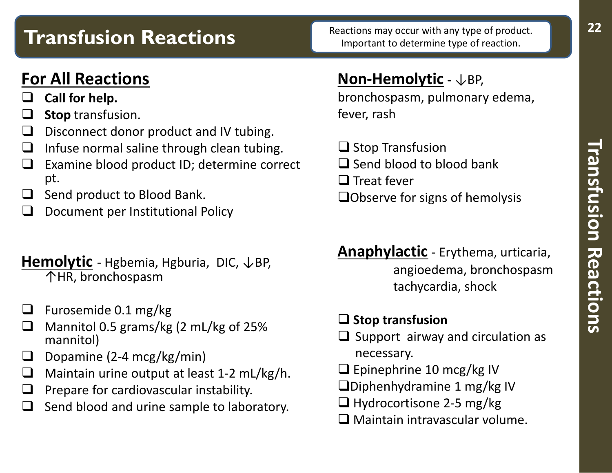# **Transfusion Reactions**

### **For All Reactions**

- **Call for help.**
- **Stop** transfusion.
- $\Box$  Disconnect donor product and IV tubing.
- $\Box$  Infuse normal saline through clean tubing.
- $\Box$  Examine blood product ID; determine correct pt.
- $\Box$  Send product to Blood Bank.
- Document per Institutional Policy

#### **Hemolytic** - Hgbemia, Hgburia, DIC,  $\downarrow$ BP, ↑HR, bronchospasm

- $\Box$  Furosemide 0.1 mg/kg
- $\Box$  Mannitol 0.5 grams/kg (2 mL/kg of 25% mannitol)
- **D** Dopamine (2-4 mcg/kg/min)
- $\Box$  Maintain urine output at least 1-2 mL/kg/h.
- $\Box$  Prepare for cardiovascular instability.
- Send blood and urine sample to laboratory.

### **Non-Hemolytic -** ↓BP,

bronchospasm, pulmonary edema, fever, rash

- $\Box$  Stop Transfusion
- $\Box$  Send blood to blood bank
- $\Box$  Treat fever
- **QObserve for signs of hemolysis**
- **Anaphylactic** Erythema, urticaria, angioedema, bronchospasm tachycardia, shock

#### **Stop transfusion**

- $\Box$  Support airway and circulation as necessary.
- $\Box$  Epinephrine 10 mcg/kg IV
- $\Box$ Diphenhydramine 1 mg/kg IV
- $\Box$  Hydrocortisone 2-5 mg/kg
- $\Box$  Maintain intravascular volume.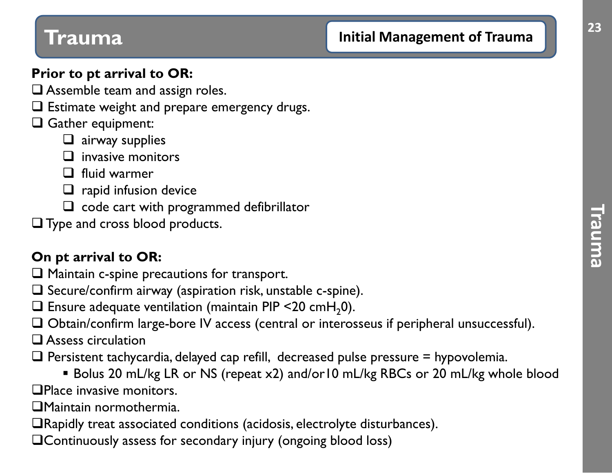## **Initial Management of Trauma 1989**

#### **Prior to pt arrival to OR:**

- $\square$  Assemble team and assign roles.
- $\square$  Estimate weight and prepare emergency drugs.

#### Gather equipment:

- $\Box$  airway supplies
- $\Box$  invasive monitors
- $\Box$  fluid warmer
- $\Box$  rapid infusion device
- $\Box$  code cart with programmed defibrillator
- **Type and cross blood products.**

#### **On pt arrival to OR:**

- $\Box$  Maintain c-spine precautions for transport.
- $\square$  Secure/confirm airway (aspiration risk, unstable c-spine).
- $\Box$  Ensure adequate ventilation (maintain PIP <20 cmH<sub>2</sub>0).
- Obtain/confirm large-bore IV access (central or interosseus if peripheral unsuccessful).
- **Q** Assess circulation
- $\Box$  Persistent tachycardia, delayed cap refill, decreased pulse pressure = hypovolemia.
- Bolus 20 mL/kg LR or NS (repeat x2) and/or10 mL/kg RBCs or 20 mL/kg whole blood **QPlace invasive monitors.**

ith

- Maintain normothermia.
- Rapidly treat associated conditions (acidosis, electrolyte disturbances).
- Continuously assess for secondary injury (ongoing blood loss)